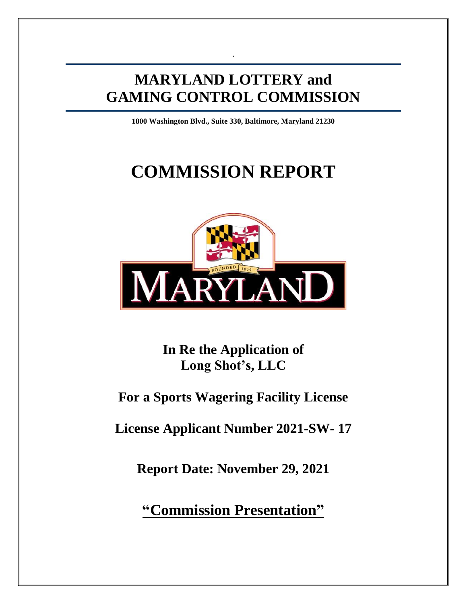# **MARYLAND LOTTERY and GAMING CONTROL COMMISSION**

.

**1800 Washington Blvd., Suite 330, Baltimore, Maryland 21230**

# **COMMISSION REPORT**



**In Re the Application of Long Shot's, LLC**

# **For a Sports Wagering Facility License**

**License Applicant Number 2021-SW- 17**

**Report Date: November 29, 2021**

**"Commission Presentation"**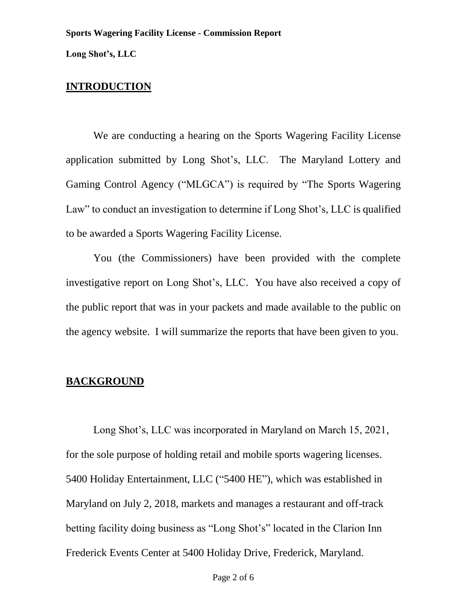**Long Shot's, LLC**

# **INTRODUCTION**

We are conducting a hearing on the Sports Wagering Facility License application submitted by Long Shot's, LLC. The Maryland Lottery and Gaming Control Agency ("MLGCA") is required by "The Sports Wagering Law" to conduct an investigation to determine if Long Shot's, LLC is qualified to be awarded a Sports Wagering Facility License.

You (the Commissioners) have been provided with the complete investigative report on Long Shot's, LLC. You have also received a copy of the public report that was in your packets and made available to the public on the agency website. I will summarize the reports that have been given to you.

## **BACKGROUND**

Long Shot's, LLC was incorporated in Maryland on March 15, 2021, for the sole purpose of holding retail and mobile sports wagering licenses. 5400 Holiday Entertainment, LLC ("5400 HE"), which was established in Maryland on July 2, 2018, markets and manages a restaurant and off-track betting facility doing business as "Long Shot's" located in the Clarion Inn Frederick Events Center at 5400 Holiday Drive, Frederick, Maryland.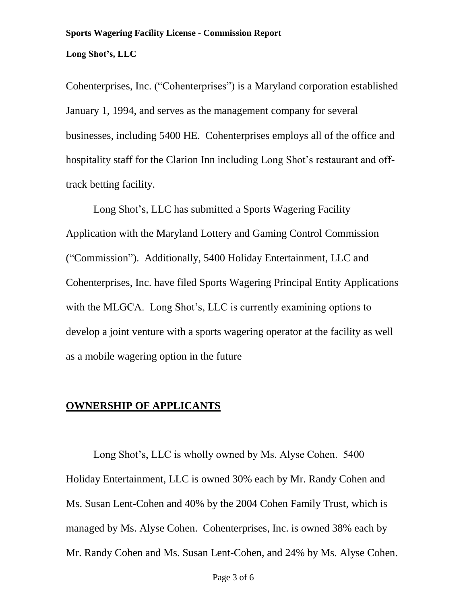## **Long Shot's, LLC**

Cohenterprises, Inc. ("Cohenterprises") is a Maryland corporation established January 1, 1994, and serves as the management company for several businesses, including 5400 HE. Cohenterprises employs all of the office and hospitality staff for the Clarion Inn including Long Shot's restaurant and offtrack betting facility.

Long Shot's, LLC has submitted a Sports Wagering Facility Application with the Maryland Lottery and Gaming Control Commission ("Commission"). Additionally, 5400 Holiday Entertainment, LLC and Cohenterprises, Inc. have filed Sports Wagering Principal Entity Applications with the MLGCA. Long Shot's, LLC is currently examining options to develop a joint venture with a sports wagering operator at the facility as well as a mobile wagering option in the future

# **OWNERSHIP OF APPLICANTS**

Long Shot's, LLC is wholly owned by Ms. Alyse Cohen. 5400 Holiday Entertainment, LLC is owned 30% each by Mr. Randy Cohen and Ms. Susan Lent-Cohen and 40% by the 2004 Cohen Family Trust, which is managed by Ms. Alyse Cohen. Cohenterprises, Inc. is owned 38% each by Mr. Randy Cohen and Ms. Susan Lent-Cohen, and 24% by Ms. Alyse Cohen.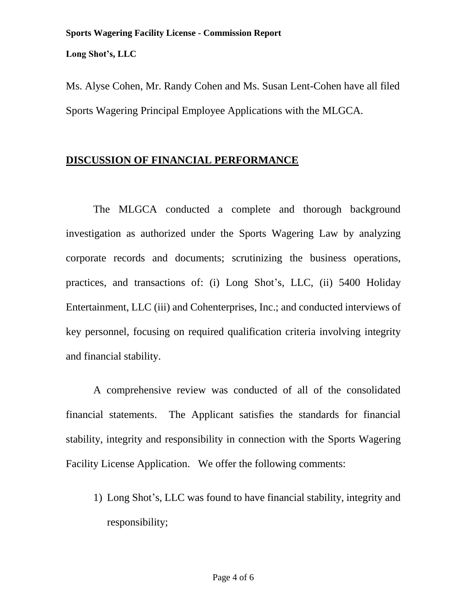**Long Shot's, LLC**

Ms. Alyse Cohen, Mr. Randy Cohen and Ms. Susan Lent-Cohen have all filed Sports Wagering Principal Employee Applications with the MLGCA.

# **DISCUSSION OF FINANCIAL PERFORMANCE**

The MLGCA conducted a complete and thorough background investigation as authorized under the Sports Wagering Law by analyzing corporate records and documents; scrutinizing the business operations, practices, and transactions of: (i) Long Shot's, LLC, (ii) 5400 Holiday Entertainment, LLC (iii) and Cohenterprises, Inc.; and conducted interviews of key personnel, focusing on required qualification criteria involving integrity and financial stability.

A comprehensive review was conducted of all of the consolidated financial statements. The Applicant satisfies the standards for financial stability, integrity and responsibility in connection with the Sports Wagering Facility License Application. We offer the following comments:

1) Long Shot's, LLC was found to have financial stability, integrity and responsibility;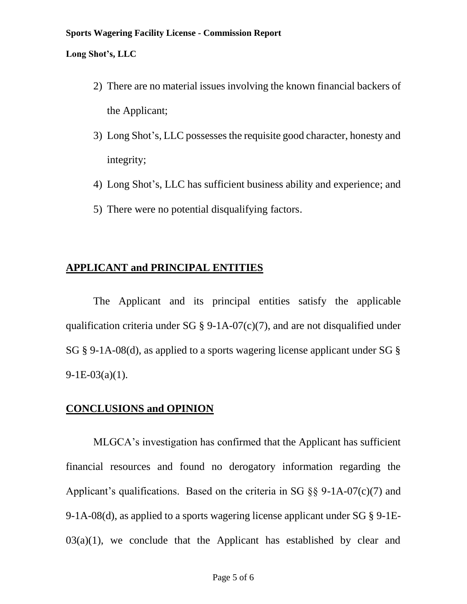#### **Sports Wagering Facility License - Commission Report**

#### **Long Shot's, LLC**

- 2) There are no material issues involving the known financial backers of the Applicant;
- 3) Long Shot's, LLC possesses the requisite good character, honesty and integrity;
- 4) Long Shot's, LLC has sufficient business ability and experience; and
- 5) There were no potential disqualifying factors.

# **APPLICANT and PRINCIPAL ENTITIES**

The Applicant and its principal entities satisfy the applicable qualification criteria under SG  $\S$  9-1A-07(c)(7), and are not disqualified under SG § 9-1A-08(d), as applied to a sports wagering license applicant under SG §  $9-1E-03(a)(1)$ .

# **CONCLUSIONS and OPINION**

MLGCA's investigation has confirmed that the Applicant has sufficient financial resources and found no derogatory information regarding the Applicant's qualifications. Based on the criteria in SG  $\S$ § 9-1A-07(c)(7) and 9-1A-08(d), as applied to a sports wagering license applicant under SG § 9-1E- $03(a)(1)$ , we conclude that the Applicant has established by clear and